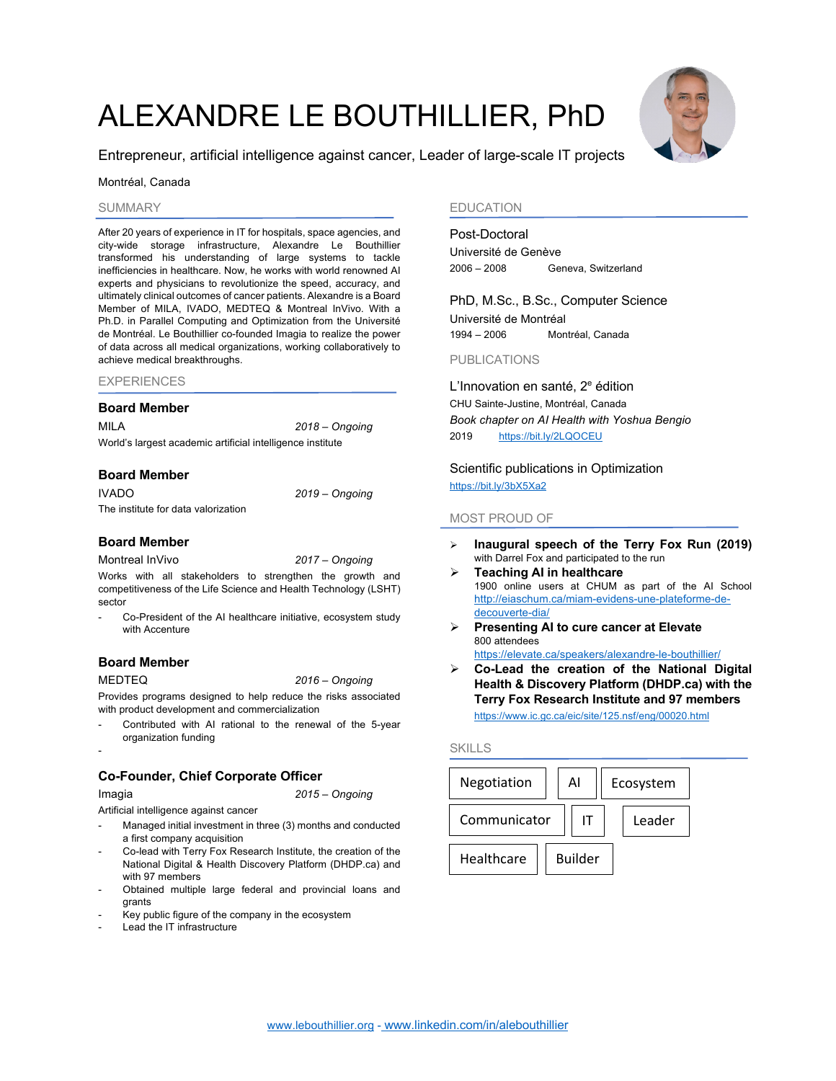# ALEXANDRE LE BOUTHILLIER, PhD



#### Montréal, Canada

#### SUMMARY

After 20 years of experience in IT for hospitals, space agencies, and city-wide storage infrastructure, Alexandre Le Bouthillier transformed his understanding of large systems to tackle inefficiencies in healthcare. Now, he works with world renowned AI experts and physicians to revolutionize the speed, accuracy, and ultimately clinical outcomes of cancer patients. Alexandre is a Board Member of MILA, IVADO, MEDTEQ & Montreal InVivo. With a Ph.D. in Parallel Computing and Optimization from the Université de Montréal. Le Bouthillier co-founded Imagia to realize the power of data across all medical organizations, working collaboratively to achieve medical breakthroughs.

| <b>EXPERIENCES</b> |  |
|--------------------|--|
|--------------------|--|

#### **Board Member**

MILA *2018 – Ongoing* World's largest academic artificial intelligence institute

#### **Board Member**

IVADO *2019 – Ongoing* The institute for data valorization

#### **Board Member**

Montreal InVivo *2017 – Ongoing* Works with all stakeholders to strengthen the growth and

competitiveness of the Life Science and Health Technology (LSHT) sector

Co-President of the AI healthcare initiative, ecosystem study with Accenture

# **Board Member**

MEDTEQ *2016 – Ongoing*

Provides programs designed to help reduce the risks associated with product development and commercialization

Contributed with AI rational to the renewal of the 5-year organization funding

# **Co-Founder, Chief Corporate Officer**

-

Imagia *2015 – Ongoing*

Artificial intelligence against cancer

- Managed initial investment in three (3) months and conducted a first company acquisition
- Co-lead with Terry Fox Research Institute, the creation of the National Digital & Health Discovery Platform (DHDP.ca) and with 97 members
- Obtained multiple large federal and provincial loans and grants
- Key public figure of the company in the ecosystem
- Lead the IT infrastructure

# EDUCATION

#### Post-Doctoral

Université de Genève 2006 – 2008 Geneva, Switzerland

PhD, M.Sc., B.Sc., Computer Science Université de Montréal 1994 – 2006 Montréal, Canada

PUBLICATIONS

L'Innovation en santé, 2e édition CHU Sainte-Justine, Montréal, Canada *Book chapter on AI Health with Yoshua Bengio* 2019 https://bit.ly/2LQOCEU

Scientific publications in Optimization https://bit.ly/3bX5Xa2

## MOST PROUD OF

- Ø **Inaugural speech of the Terry Fox Run (2019)** with Darrel Fox and participated to the run
- Ø **Teaching AI in healthcare** 1900 online users at CHUM as part of the AI School http://eiaschum.ca/miam-evidens-une-plateforme-dedecouverte-dia/
- Ø **Presenting AI to cure cancer at Elevate** 800 attendees
	- https://elevate.ca/speakers/alexandre-le-bouthillier/
- Ø **Co-Lead the creation of the National Digital Health & Discovery Platform (DHDP.ca) with the Terry Fox Research Institute and 97 members**  https://www.ic.gc.ca/eic/site/125.nsf/eng/00020.html

#### SKILLS